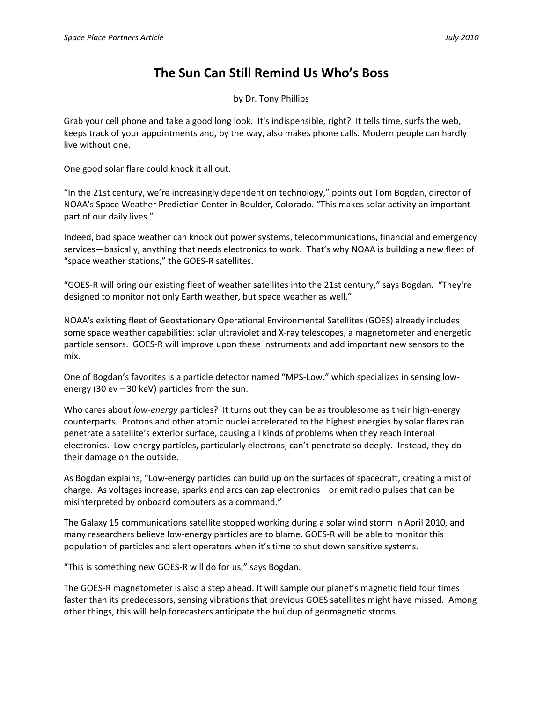## **The Sun Can Still Remind Us Who's Boss**

by Dr. Tony Phillips

Grab your cell phone and take a good long look. It's indispensible, right? It tells time, surfs the web, keeps track of your appointments and, by the way, also makes phone calls. Modern people can hardly live without one.

One good solar flare could knock it all out.

"In the 21st century, we're increasingly dependent on technology," points out Tom Bogdan, director of NOAA's Space Weather Prediction Center in Boulder, Colorado. "This makes solar activity an important part of our daily lives."

Indeed, bad space weather can knock out power systems, telecommunications, financial and emergency services—basically, anything that needs electronics to work. That's why NOAA is building a new fleet of "space weather stations," the GOES‐R satellites.

"GOES‐R will bring our existing fleet of weather satellites into the 21st century," says Bogdan. "They're designed to monitor not only Earth weather, but space weather as well."

NOAA's existing fleet of Geostationary Operational Environmental Satellites (GOES) already includes some space weather capabilities: solar ultraviolet and X-ray telescopes, a magnetometer and energetic particle sensors. GOES‐R will improve upon these instruments and add important new sensors to the mix.

One of Bogdan's favorites is a particle detector named "MPS‐Low," which specializes in sensing low‐ energy (30 ev – 30 keV) particles from the sun.

Who cares about *low‐energy* particles? It turns out they can be as troublesome as their high‐energy counterparts. Protons and other atomic nuclei accelerated to the highest energies by solar flares can penetrate a satellite's exterior surface, causing all kinds of problems when they reach internal electronics. Low‐energy particles, particularly electrons, can't penetrate so deeply. Instead, they do their damage on the outside.

As Bogdan explains, "Low‐energy particles can build up on the surfaces of spacecraft, creating a mist of charge. As voltages increase, sparks and arcs can zap electronics—or emit radio pulses that can be misinterpreted by onboard computers as a command."

The Galaxy 15 communications satellite stopped working during a solar wind storm in April 2010, and many researchers believe low-energy particles are to blame. GOES-R will be able to monitor this population of particles and alert operators when it's time to shut down sensitive systems.

"This is something new GOES‐R will do for us," says Bogdan.

The GOES‐R magnetometer is also a step ahead. It will sample our planet's magnetic field four times faster than its predecessors, sensing vibrations that previous GOES satellites might have missed. Among other things, this will help forecasters anticipate the buildup of geomagnetic storms.